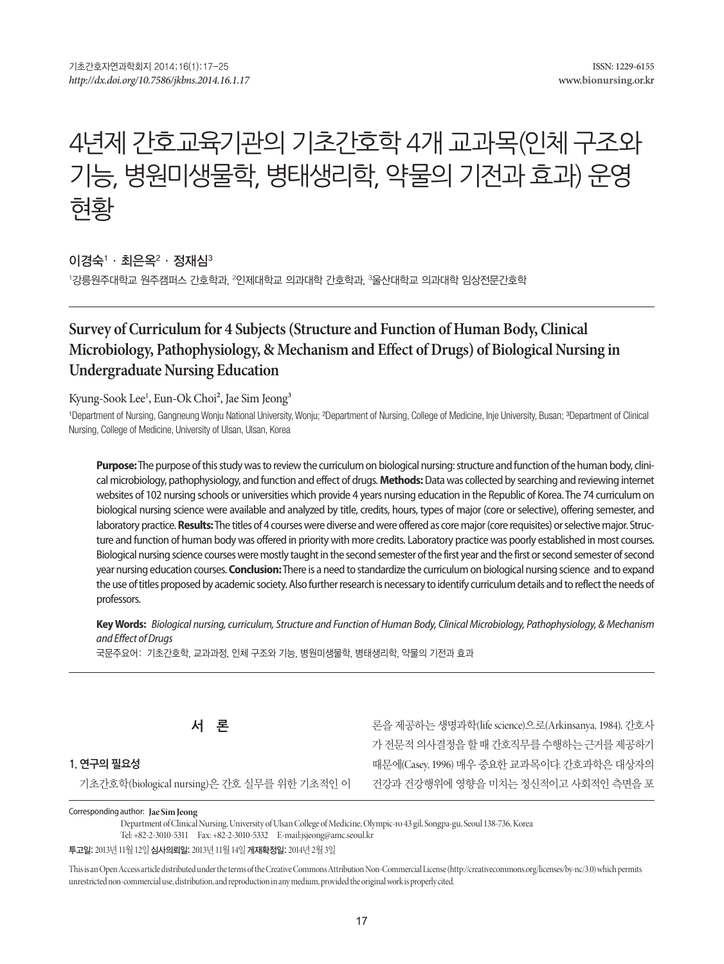# 4년제 간호교육기관의 기초간호학 4개 교과목(인체 구조와 기능, 병원미생물학, 병태생리학, 약물의 기전과 효과) 운영 현황

이경숙' · 최은옥 $^{\rm 2}$  · 정재심 $^{\rm 3}$ 

'강릉원주대학교 원주캠퍼스 간호학과, <sup>2</sup>인제대학교 의과대학 간호학과, <sup>3</sup>울산대학교 의과대학 임상전문간호학

# **Survey of Curriculum for 4 Subjects (Structure and Function of Human Body, Clinical Microbiology, Pathophysiology, & Mechanism and Effect of Drugs) of Biological Nursing in Undergraduate Nursing Education**

Kyung-Sook Lee<sup>1</sup>, Eun-Ok Choi<sup>2</sup>, Jae Sim Jeong<sup>3</sup>

1Department of Nursing, Gangneung Wonju National University, Wonju; <sup>2</sup>Department of Nursing, College of Medicine, Inje University, Busan; <sup>3</sup>Department of Clinical Nursing, College of Medicine, University of Ulsan, Ulsan, Korea

**Purpose:** The purpose of this study was to review the curriculum on biological nursing: structure and function of the human body, clinical microbiology, pathophysiology, and function and effect of drugs. **Methods:** Data was collected by searching and reviewing internet websites of 102 nursing schools or universities which provide 4 years nursing education in the Republic of Korea. The 74 curriculum on biological nursing science were available and analyzed by title, credits, hours, types of major (core or selective), offering semester, and laboratory practice. **Results:** The titles of 4 courses were diverse and were offered as core major (core requisites) or selective major. Structure and function of human body was offered in priority with more credits. Laboratory practice was poorly established in most courses. Biological nursing science courses were mostly taught in the second semester of the first year and the first or second semester of second year nursing education courses. **Conclusion:** There is a need to standardize the curriculum on biological nursing science and to expand the use of titles proposed by academic society. Also further research is necessary to identify curriculum details and to reflect the needs of professors.

**Key Words:** *Biological nursing, curriculum, Structure and Function of Human Body, Clinical Microbiology, Pathophysiology, & Mechanism and Effect of Drugs*

국문주요어: 기초간호학, 교과과정, 인체 구조와 기능, 병원미생물학, 병태생리학, 약물의 기전과 효과

**서 론**

론을 제공하는 생명과학(life science)으로(Arkinsanya, 1984), 간호사 가전문적의사결정을할때간호직무를수행하는근거를제공하기 때문에(Casey, 1996) 매우 중요한 교과목이다. 간호과학은 대상자의 건강과 건강행위에 영향을 미치는 정신적이고 사회적인 측면을 포

**1. 연구의 필요성**

기초간호학(biological nursing)은 간호 실무를 위한 기초적인 이

Corresponding author: **Jae Sim Jeong**

Department of Clinical Nursing, University of Ulsan College of Medicine, Olympic-ro 43 gil, Songpa-gu, Seoul 138-736, Korea Tel: +82-2-3010-5311 Fax: +82-2-3010-5332 E-mail:jsjeong@amc.seoul.kr

투고일: 2013년 11월 12일심사의뢰일: 2013년 11월 14일게재확정일: 2014년 2월 3일

This is an Open Access article distributed under the terms of the Creative Commons Attribution Non-Commercial License (http://creativecommons.org/licenses/by-nc/3.0) which permits unrestricted non-commercial use, distribution, and reproduction in any medium, provided the original work is properly cited.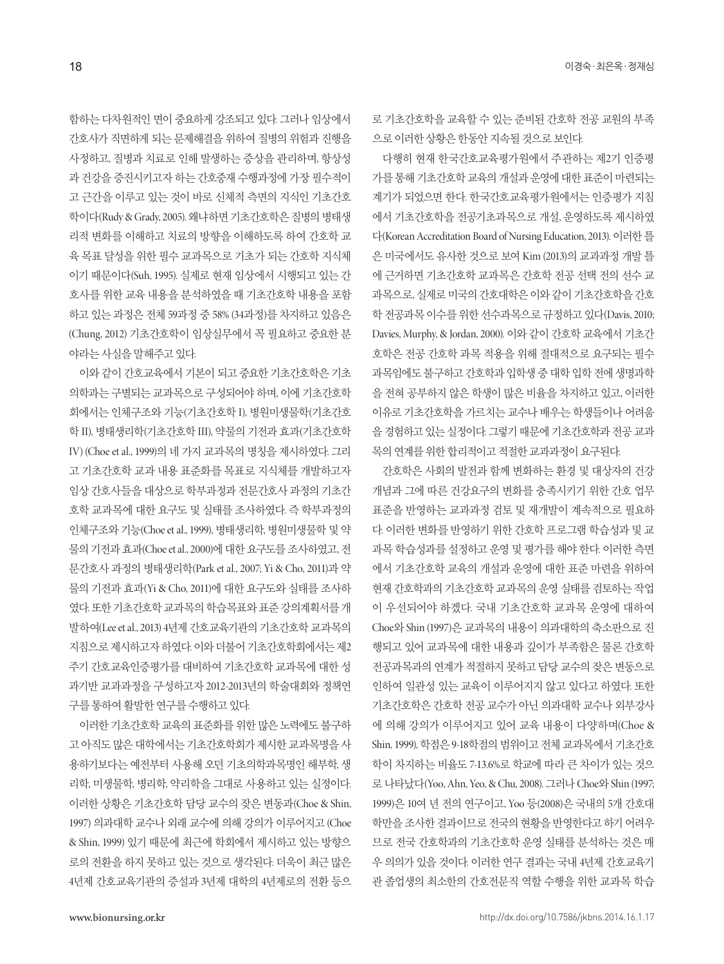함하는 다차원적인 면이 중요하게 강조되고 있다. 그러나 임상에서 간호사가 직면하게 되는 문제해결을 위하여 질병의 위험과 진행을 사정하고, 질병과 치료로 인해 발생하는 증상을 관리하며, 항상성 과 건강을 증진시키고자 하는 간호중재 수행과정에 가장 필수적이 고 근간을 이루고 있는 것이 바로 신체적 측면의 지식인 기초간호 학이다(Rudy & Grady, 2005). 왜냐하면 기초간호학은 질병의 병태생 리적 변화를 이해하고 치료의 방향을 이해하도록 하여 간호학 교 육 목표 달성을 위한 필수 교과목으로 기초가 되는 간호학 지식체 이기 때문이다(Suh, 1995). 실제로 현재 임상에서 시행되고 있는 간 호사를 위한 교육 내용을 분석하였을 때 기초간호학 내용을 포함 하고 있는 과정은 전체 59과정 중 58% (34과정)를 차지하고 있음은 (Chung, 2012) 기초간호학이 임상실무에서 꼭 필요하고 중요한 분 야라는사실을말해주고있다.

이와 같이 간호교육에서 기본이 되고 중요한 기초간호학은 기초 의학과는 구별되는 교과목으로 구성되어야 하며, 이에 기초간호학 회에서는 인체구조와 기능(기초간호학 I), 병원미생물학(기초간호 학 II), 병태생리학(기초간호학 III), 약물의 기전과 효과(기초간호학 IV) (Choe et al., 1999)의 네 가지 교과목의 명칭을 제시하였다. 그리 고 기초간호학 교과 내용 표준화를 목표로 지식체를 개발하고자 임상 간호사들을 대상으로 학부과정과 전문간호사 과정의 기초간 호학 교과목에 대한 요구도 및 실태를 조사하였다. 즉 학부과정의 인체구조와 기능(Choe et al., 1999), 병태생리학, 병원미생물학 및 약 물의 기전과 효과(Choe et al., 2000)에 대한 요구도를 조사하였고, 전 문간호사 과정의 병태생리학(Park et al., 2007; Yi & Cho, 2011)과 약 물의 기전과 효과(Yi & Cho, 2011)에 대한 요구도와 실태를 조사하 였다. 또한 기초간호학 교과목의 학습목표와 표준 강의계획서를 개 발하여(Lee et al., 2013) 4년제 간호교육기관의 기초간호학 교과목의 지침으로제시하고자하였다. 이와더불어기초간호학회에서는제2 주기 간호교육인증평가를 대비하여 기초간호학 교과목에 대한 성 과기반 교과과정을 구성하고자 2012-2013년의 학술대회와 정책연 구를통하여활발한연구를수행하고있다.

이러한 기초간호학 교육의 표준화를 위한 많은 노력에도 불구하 고 아직도 많은 대학에서는 기초간호학회가 제시한 교과목명을 사 용하기보다는 예전부터 사용해 오던 기초의학과목명인 해부학, 생 리학, 미생물학, 병리학, 약리학을 그대로 사용하고 있는 실정이다. 이러한 상황은 기초간호학 담당 교수의 잦은 변동과(Choe & Shin, 1997) 의과대학 교수나 외래 교수에 의해 강의가 이루어지고 (Choe & Shin, 1999) 있기 때문에 최근에 학회에서 제시하고 있는 방향으 로의 전환을 하지 못하고 있는 것으로 생각된다. 더욱이 최근 많은 4년제 간호교육기관의 증설과 3년제 대학의 4년제로의 전환 등으 로 기초간호학을 교육할 수 있는 준비된 간호학 전공 교원의 부족 으로이러한상황은한동안지속될것으로보인다.

다행히 현재 한국간호교육평가원에서 주관하는 제2기 인증평 가를통해기초간호학교육의개설과운영에대한표준이마련되는 계기가 되었으면 한다. 한국간호교육평가원에서는 인증평가 지침 에서 기초간호학을 전공기초과목으로 개설, 운영하도록 제시하였 다(Korean Accreditation Board of Nursing Education, 2013). 이러한 틀 은 미국에서도 유사한 것으로 보여 Kim (2013)의 교과과정 개발 틀 에 근거하면 기초간호학 교과목은 간호학 전공 선택 전의 선수 교 과목으로, 실제로미국의간호대학은이와같이기초간호학을간호 학 전공과목 이수를 위한 선수과목으로 규정하고 있다(Davis, 2010; Davies, Murphy, & Jordan, 2000). 이와 같이 간호학 교육에서 기초간 호학은 전공 간호학 과목 적용을 위해 절대적으로 요구되는 필수 과목임에도 불구하고 간호학과 입학생 중 대학 입학 전에 생명과학 을 전혀 공부하지 않은 학생이 많은 비율을 차지하고 있고, 이러한 이유로 기초간호학을 가르치는 교수나 배우는 학생들이나 어려움 을 경험하고 있는 실정이다. 그렇기 때문에 기초간호학과 전공 교과 목의연계를위한합리적이고적절한교과과정이요구된다.

간호학은 사회의 발전과 함께 변화하는 환경 및 대상자의 건강 개념과 그에 따른 건강요구의 변화를 충족시키기 위한 간호 업무 표준을 반영하는 교과과정 검토 및 재개발이 계속적으로 필요하 다. 이러한 변화를 반영하기 위한 간호학 프로그램 학습성과 및 교 과목 학습성과를 설정하고 운영 및 평가를 해야 한다. 이러한 측면 에서 기초간호학 교육의 개설과 운영에 대한 표준 마련을 위하여 현재 간호학과의 기초간호학 교과목의 운영 실태를 검토하는 작업 이 우선되어야 하겠다. 국내 기초간호학 교과목 운영에 대하여 Choe와 Shin (1997)은 교과목의 내용이 의과대학의 축소판으로 진 행되고 있어 교과목에 대한 내용과 깊이가 부족함은 물론 간호학 전공과목과의 연계가 적절하지 못하고 담당 교수의 잦은 변동으로 인하여 일관성 있는 교육이 이루어지지 않고 있다고 하였다. 또한 기초간호학은 간호학 전공 교수가 아닌 의과대학 교수나 외부강사 에 의해 강의가 이루어지고 있어 교육 내용이 다양하며(Choe & Shin, 1999), 학점은 9-18학점의 범위이고 전체 교과목에서 기초간호 학이 차지하는 비율도 7-13.6%로 학교에 따라 큰 차이가 있는 것으 로 나타났다(Yoo, Ahn, Yeo, & Chu, 2008). 그러나 Choe와 Shin (1997; 1999)은 10여 년 전의 연구이고, Yoo 등(2008)은 국내의 5개 간호대 학만을 조사한 결과이므로 전국의 현황을 반영한다고 하기 어려우 므로 전국 간호학과의 기초간호학 운영 실태를 분석하는 것은 매 우 의의가 있을 것이다. 이러한 연구 결과는 국내 4년제 간호교육기 관 졸업생의 최소한의 간호전문직 역할 수행을 위한 교과목 학습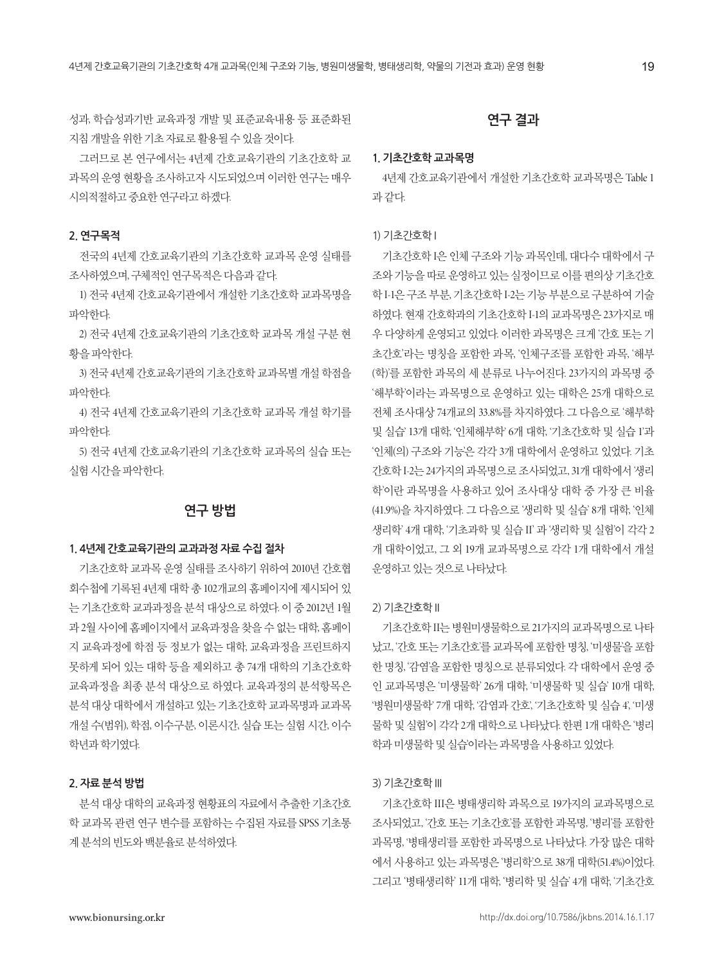성과, 학습성과기반 교육과정 개발 및 표준교육내용 등 표준화된 지침개발을위한기초자료로활용될수있을것이다.

그러므로 본 연구에서는 4년제 간호교육기관의 기초간호학 교 과목의 운영 현황을 조사하고자 시도되었으며 이러한 연구는 매우 시의적절하고중요한연구라고하겠다.

## **2. 연구목적**

전국의 4년제 간호교육기관의 기초간호학 교과목 운영 실태를 조사하였으며, 구체적인 연구목적은 다음과 같다.

1) 전국 4년제 간호교육기관에서 개설한 기초간호학 교과목명을 파악한다.

2) 전국 4년제 간호교육기관의 기초간호학 교과목 개설 구분 현 황을파악한다.

3) 전국 4년제 간호교육기관의기초간호학 교과목별 개설 학점을 파악한다.

4) 전국 4년제 간호교육기관의 기초간호학 교과목 개설 학기를 파악한다.

5) 전국 4년제 간호교육기관의 기초간호학 교과목의 실습 또는 실험시간을파악한다.

# **연구 방법**

#### **1. 4년제 간호교육기관의 교과과정 자료 수집 절차**

기초간호학 교과목 운영 실태를 조사하기 위하여 2010년 간호협 회수첩에 기록된 4년제 대학 총 102개교의 홈페이지에 제시되어 있 는 기초간호학 교과과정을 분석 대상으로 하였다. 이 중 2012년 1월 과 2월 사이에 홈페이지에서 교육과정을 찾을 수 없는 대학, 홈페이 지 교육과정에 학점 등 정보가 없는 대학, 교육과정을 프린트하지 못하게 되어 있는 대학 등을 제외하고 총 74개 대학의 기초간호학 교육과정을 최종 분석 대상으로 하였다. 교육과정의 분석항목은 분석 대상 대학에서 개설하고 있는 기초간호학 교과목명과 교과목 개설 수(범위), 학점, 이수구분, 이론시간, 실습 또는 실험 시간, 이수 학년과학기였다.

#### **2. 자료 분석 방법**

분석 대상 대학의 교육과정 현황표의 자료에서 추출한 기초간호 학 교과목 관련 연구 변수를 포함하는 수집된 자료를 SPSS 기초통 계 분석의 빈도와 백분율로 분석하였다.

# **연구 결과**

## **1. 기초간호학 교과목명**

4년제 간호교육기관에서 개설한 기초간호학 교과목명은 Table 1 과같다.

#### 1) 기초간호학 I

기초간호학 I은 인체 구조와 기능 과목인데, 대다수 대학에서 구 조와기능을따로운영하고있는실정이므로이를편의상기초간호 학 I-1은 구조 부분, 기초간호학 I-2는 기능 부분으로 구분하여 기술 하였다. 현재 간호학과의 기초간호학 I-1의 교과목명은 23가지로 매 우 다양하게 운영되고 있었다. 이러한 과목명은 크게 '간호 또는 기 초간호'라는 명칭을 포함한 과목, '인체구조'를 포함한 과목, '해부 (학)'를 포함한 과목의 세 분류로 나누어진다. 23가지의 과목명 중 '해부학'이라는 과목명으로 운영하고 있는 대학은 25개 대학으로 전체 조사대상 74개교의 33.8%를 차지하였다. 그 다음으로 '해부학 및 실습' 13개 대학, '인체해부학' 6개 대학, '기초간호학 및 실습 1'과 '인체(의) 구조와 기능'은 각각 3개 대학에서 운영하고 있었다. 기초 간호학 I-2는 24가지의 과목명으로 조사되었고, 31개 대학에서'생리 학'이란 과목명을 사용하고 있어 조사대상 대학 중 가장 큰 비율 (41.9%)을 차지하였다. 그 다음으로 '생리학 및 실습' 8개 대학, '인체 생리학' 4개 대학, '기초과학 및 실습 II' 과 '생리학 및 실험'이 각각 2 개 대학이었고, 그 외 19개 교과목명으로 각각 1개 대학에서 개설 운영하고있는것으로나타났다.

#### 2) 기초간호학 II

기초간호학 II는병원미생물학으로 21가지의교과목명으로나타 났고, '간호 또는 기초간호'를 교과목에 포함한 명칭, '미생물'을 포함 한 명칭, '감염'을 포함한 명칭으로 분류되었다. 각 대학에서 운영 중 인 교과목명은 '미생물학' 26개 대학, '미생물학 및 실습' 10개 대학, '병원미생물학' 7개 대학, '감염과 간호', '기초간호학 및 실습 4', '미생 물학 및 실험'이 각각 2개 대학으로 나타났다. 한편 1개 대학은 '병리 학과 미생물학 및 실습'이라는 과목명을 사용하고 있었다.

#### 3) 기초간호학 III

기초간호학 III은 병태생리학 과목으로 19가지의 교과목명으로 조사되었고, '간호 또는 기초간호'를 포함한 과목명, '병리'를 포함한 과목명, '병태생리'를 포함한 과목명으로 나타났다. 가장 많은 대학 에서 사용하고 있는 과목명은 '병리학'으로 38개 대학(51.4%)이었다. 그리고 '병태생리학' 11개 대학, '병리학 및 실습' 4개 대학, '기초간호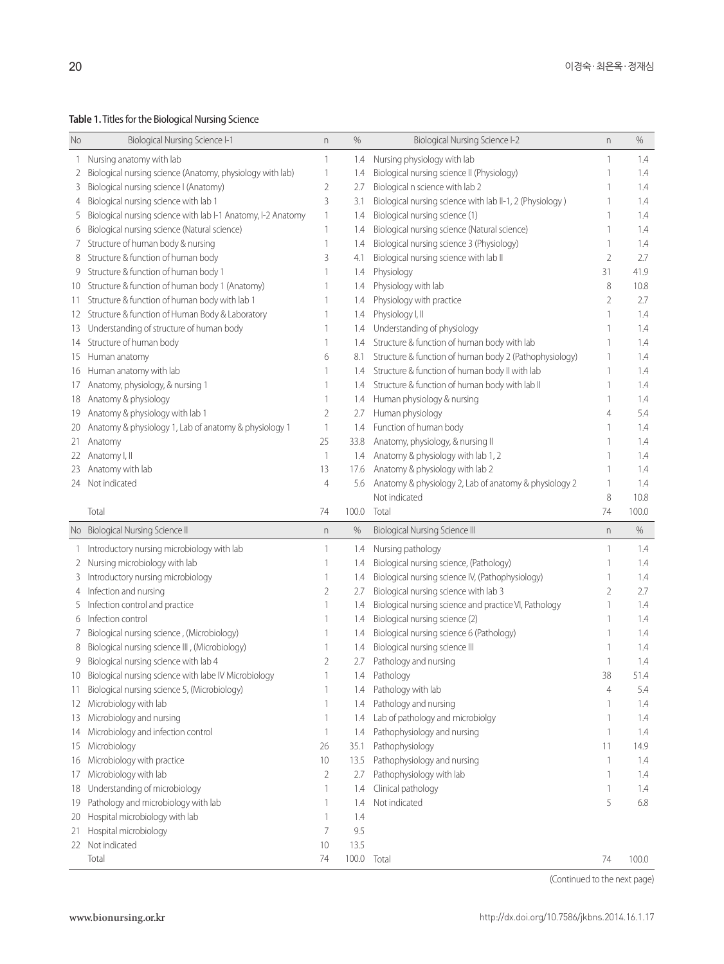**Table 1.** Titles for the Biological Nursing Science

| No  | <b>Biological Nursing Science I-1</b>                        | n              | %             | <b>Biological Nursing Science I-2</b>                    | n              | %     |
|-----|--------------------------------------------------------------|----------------|---------------|----------------------------------------------------------|----------------|-------|
| 1   | Nursing anatomy with lab                                     | 1              | 1.4           | Nursing physiology with lab                              | 1              | 1.4   |
| 2   | Biological nursing science (Anatomy, physiology with lab)    | 1              | 1.4           | Biological nursing science II (Physiology)               | 1              | 1.4   |
| 3   | Biological nursing science I (Anatomy)                       | 2              | 2.7           | Biological n science with lab 2                          |                | 1.4   |
| 4   | Biological nursing science with lab 1                        | 3              | 3.1           | Biological nursing science with lab II-1, 2 (Physiology) |                | 1.4   |
| 5   | Biological nursing science with lab I-1 Anatomy, I-2 Anatomy | $\mathbf{1}$   | 1.4           | Biological nursing science (1)                           | 1              | 1.4   |
| 6   | Biological nursing science (Natural science)                 | $\mathbf{1}$   | 1.4           | Biological nursing science (Natural science)             | 1              | 1.4   |
| 7   | Structure of human body & nursing                            | 1              | 1.4           | Biological nursing science 3 (Physiology)                | 1              | 1.4   |
| 8   | Structure & function of human body                           | 3              | 4.1           | Biological nursing science with lab II                   | 2              | 2.7   |
| 9   | Structure & function of human body 1                         | 1              | 1.4           | Physiology                                               | 31             | 41.9  |
| 10  | Structure & function of human body 1 (Anatomy)               |                | 1.4           | Physiology with lab                                      | 8              | 10.8  |
| 11. | Structure & function of human body with lab 1                | 1              | 1.4           | Physiology with practice                                 | 2              | 2.7   |
| 12  | Structure & function of Human Body & Laboratory              | 1              | 1.4           | Physiology I, II                                         | 1              | 1.4   |
| 13  | Understanding of structure of human body                     | 1              | 1.4           | Understanding of physiology                              |                | 1.4   |
| 14  | Structure of human body                                      | 1              | 1.4           | Structure & function of human body with lab              |                | 1.4   |
| 15  | Human anatomy                                                | 6              | 8.1           | Structure & function of human body 2 (Pathophysiology)   | 1              | 1.4   |
| 16  | Human anatomy with lab                                       | 1              | 1.4           | Structure & function of human body II with lab           |                | 1.4   |
| 17  | Anatomy, physiology, & nursing 1                             | 1              | 1.4           | Structure & function of human body with lab II           | 1              | 1.4   |
| 18  | Anatomy & physiology                                         | 1              | 1.4           | Human physiology & nursing                               | 1              | 1.4   |
| 19  | Anatomy & physiology with lab 1                              | 2              | 2.7           | Human physiology                                         | 4              | 5.4   |
| 20  | Anatomy & physiology 1, Lab of anatomy & physiology 1        | $\mathbf{1}$   | 1.4           | Function of human body                                   | 1              | 1.4   |
| 21  | Anatomy                                                      | 25             | 33.8          | Anatomy, physiology, & nursing II                        |                | 1.4   |
| 22  | Anatomy I, II                                                | $\overline{1}$ | 1.4           | Anatomy & physiology with lab 1, 2                       | 1              | 1.4   |
| 23  | Anatomy with lab                                             | 13             | 17.6          | Anatomy & physiology with lab 2                          | 1              | 1.4   |
| 24  | Not indicated                                                | 4              | 5.6           | Anatomy & physiology 2, Lab of anatomy & physiology 2    | 1              | 1.4   |
|     |                                                              |                |               | Not indicated                                            | 8              | 10.8  |
|     |                                                              |                |               |                                                          |                |       |
|     |                                                              |                |               |                                                          |                |       |
|     | Total                                                        | 74             | 100.0         | Total                                                    | 74             | 100.0 |
|     | No Biological Nursing Science II                             | n              | %             | <b>Biological Nursing Science III</b>                    | n              | %     |
| 1   | Introductory nursing microbiology with lab                   | $\mathbf{1}$   | 1.4           | Nursing pathology                                        | 1              | 1.4   |
| 2   | Nursing microbiology with lab                                | 1              | 1.4           | Biological nursing science, (Pathology)                  | 1              | 1.4   |
| 3   | Introductory nursing microbiology                            | 1              | 1.4           | Biological nursing science IV, (Pathophysiology)         |                | 1.4   |
| 4   | Infection and nursing                                        | 2              | 2.7           | Biological nursing science with lab 3                    | 2              | 2.7   |
| 5   | Infection control and practice                               | 1              | 1.4           | Biological nursing science and practice VI, Pathology    | 1              | 1.4   |
| 6   | Infection control                                            |                | 1.4           | Biological nursing science (2)                           |                | 1.4   |
| 7   | Biological nursing science, (Microbiology)                   | 1              | 1.4           | Biological nursing science 6 (Pathology)                 |                | 1.4   |
| 8   | Biological nursing science III, (Microbiology)               | 1              | 1.4           | Biological nursing science III                           |                | 1.4   |
| 9   | Biological nursing science with lab 4                        | 2              | 2.7           | Pathology and nursing                                    |                | 1.4   |
|     | Biological nursing science with labe IV Microbiology         | $\mathbf{1}$   | 1.4           | Pathology                                                | 38             | 51.4  |
| 11  | Biological nursing science 5, (Microbiology)                 |                | 1.4           | Pathology with lab                                       | $\overline{4}$ | 5.4   |
| 12  | Microbiology with lab                                        | 1              | 1.4           | Pathology and nursing                                    | 1              | 1.4   |
| 13  | Microbiology and nursing                                     | $\mathbf{1}$   | 1.4           | Lab of pathology and microbiolgy                         | 1              | 1.4   |
| 14  | Microbiology and infection control                           | $\mathbf{1}$   | 1.4           | Pathophysiology and nursing                              | 1              | 1.4   |
| 15  | Microbiology                                                 | 26             | 35.1          | Pathophysiology                                          | 11             | 14.9  |
| 16  | Microbiology with practice                                   | 10             | 13.5          | Pathophysiology and nursing                              | 1              | 1.4   |
| 17  | Microbiology with lab                                        | 2              | 2.7           | Pathophysiology with lab                                 | 1              | 1.4   |
| 18  | Understanding of microbiology                                | $\mathbf{1}$   | 1.4           | Clinical pathology                                       | 1              | 1.4   |
| 19  | Pathology and microbiology with lab                          | 1              | 1.4           | Not indicated                                            | 5              | 6.8   |
| 20  | Hospital microbiology with lab                               | 1              | 1.4           |                                                          |                |       |
| 21  | Hospital microbiology                                        | 7              | 9.5           |                                                          |                |       |
| 22  | Not indicated<br>Total                                       | 10<br>74       | 13.5<br>100.0 | Total                                                    | 74             | 100.0 |

(Continued to the next page)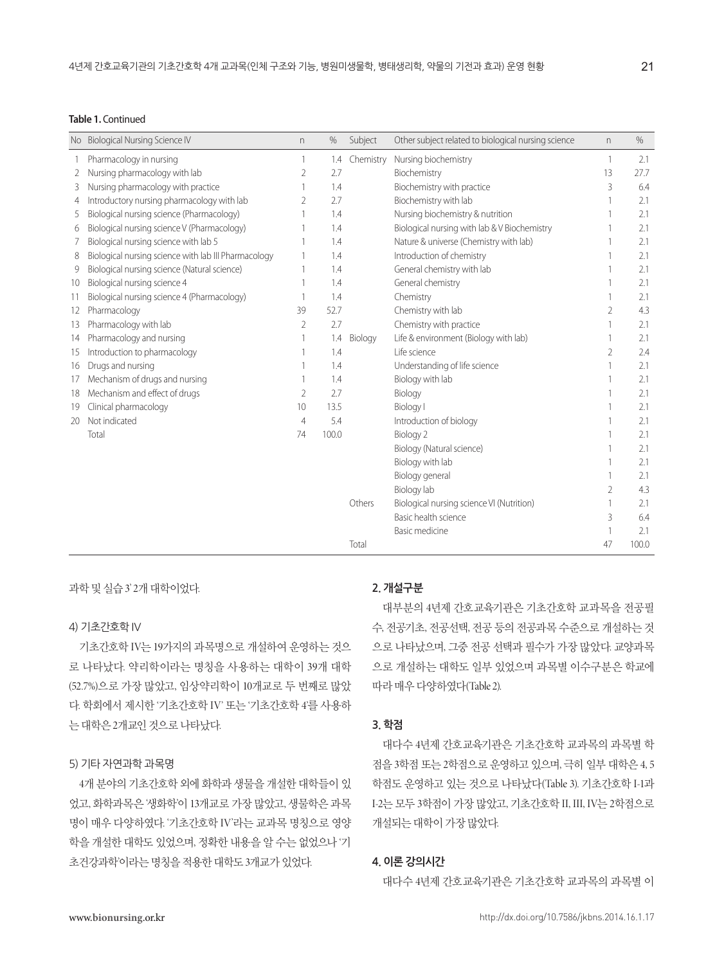#### **Table 1.** Continued

|    | No Biological Nursing Science IV                     | n.             | %     | Subject   | Other subject related to biological nursing science | n.             | $\%$  |
|----|------------------------------------------------------|----------------|-------|-----------|-----------------------------------------------------|----------------|-------|
|    | Pharmacology in nursing                              | 1              | 1.4   | Chemistry | Nursing biochemistry                                | 1              | 2.1   |
|    | Nursing pharmacology with lab                        | $\overline{2}$ | 2.7   |           | Biochemistry                                        | 13             | 27.7  |
| 3  | Nursing pharmacology with practice                   |                | 1.4   |           | Biochemistry with practice                          | 3              | 6.4   |
| 4  | Introductory nursing pharmacology with lab           | $\overline{2}$ | 2.7   |           | Biochemistry with lab                               |                | 2.1   |
| 5  | Biological nursing science (Pharmacology)            |                | 1.4   |           | Nursing biochemistry & nutrition                    |                | 2.1   |
| 6  | Biological nursing science V (Pharmacology)          |                | 1.4   |           | Biological nursing with lab & V Biochemistry        |                | 2.1   |
|    | Biological nursing science with lab 5                |                | 1.4   |           | Nature & universe (Chemistry with lab)              |                | 2.1   |
| 8  | Biological nursing science with lab III Pharmacology |                | 1.4   |           | Introduction of chemistry                           |                | 2.1   |
| 9  | Biological nursing science (Natural science)         |                | 1.4   |           | General chemistry with lab                          |                | 2.1   |
| 10 | Biological nursing science 4                         | 1              | 1.4   |           | General chemistry                                   |                | 2.1   |
| 11 | Biological nursing science 4 (Pharmacology)          | 1              | 1.4   |           | Chemistry                                           |                | 2.1   |
| 12 | Pharmacology                                         | 39             | 52.7  |           | Chemistry with lab                                  | $\overline{2}$ | 4.3   |
| 13 | Pharmacology with lab                                | $\overline{2}$ | 2.7   |           | Chemistry with practice                             |                | 2.1   |
| 14 | Pharmacology and nursing                             |                | 1.4   | Biology   | Life & environment (Biology with lab)               |                | 2.1   |
| 15 | Introduction to pharmacology                         |                | 1.4   |           | Life science                                        | 2              | 2.4   |
| 16 | Drugs and nursing                                    |                | 1.4   |           | Understanding of life science                       |                | 2.1   |
| 17 | Mechanism of drugs and nursing                       |                | 1.4   |           | Biology with lab                                    |                | 2.1   |
| 18 | Mechanism and effect of drugs                        | 2              | 2.7   |           | Biology                                             |                | 2.1   |
| 19 | Clinical pharmacology                                | 10             | 13.5  |           | <b>Biology</b> I                                    |                | 2.1   |
| 20 | Not indicated                                        | $\overline{4}$ | 5.4   |           | Introduction of biology                             |                | 2.1   |
|    | Total                                                | 74             | 100.0 |           | Biology 2                                           |                | 2.1   |
|    |                                                      |                |       |           | Biology (Natural science)                           |                | 2.1   |
|    |                                                      |                |       |           | Biology with lab                                    |                | 2.1   |
|    |                                                      |                |       |           | Biology general                                     |                | 2.1   |
|    |                                                      |                |       |           | Biology lab                                         | 2              | 4.3   |
|    |                                                      |                |       | Others    | Biological nursing science VI (Nutrition)           |                | 2.1   |
|    |                                                      |                |       |           | Basic health science                                | 3              | 6.4   |
|    |                                                      |                |       |           | <b>Basic medicine</b>                               |                | 2.1   |
|    |                                                      |                |       | Total     |                                                     | 47             | 100.0 |

과학 및 실습 3' 2개 대학이었다.

#### 4) 기초간호학 IV

기초간호학 IV는 19가지의 과목명으로 개설하여 운영하는 것으 로 나타났다. 약리학이라는 명칭을 사용하는 대학이 39개 대학 (52.7%)으로 가장 많았고, 임상약리학이 10개교로 두 번째로 많았 다. 학회에서 제시한 '기초간호학 IV' 또는 '기초간호학 4'를 사용하 는대학은 2개교인것으로나타났다.

## 5) 기타 자연과학 과목명

4개 분야의 기초간호학 외에 화학과 생물을 개설한 대학들이 있 었고, 화학과목은 '생화학'이 13개교로 가장 많았고, 생물학은 과목 명이 매우 다양하였다. '기초간호학 IV'라는 교과목 명칭으로 영양 학을 개설한 대학도 있었으며, 정확한 내용을 알 수는 없었으나 '기 초건강과학'이라는 명칭을 적용한 대학도 3개교가 있었다.

# **2. 개설구분**

대부분의 4년제 간호교육기관은 기초간호학 교과목을 전공필 수, 전공기초, 전공선택, 전공 등의 전공과목 수준으로 개설하는 것 으로 나타났으며, 그중 전공 선택과 필수가 가장 많았다. 교양과목 으로 개설하는 대학도 일부 있었으며 과목별 이수구분은 학교에 따라매우다양하였다(Table 2).

## **3. 학점**

대다수 4년제 간호교육기관은 기초간호학 교과목의 과목별 학 점을 3학점 또는 2학점으로 운영하고 있으며, 극히 일부 대학은 4, 5 학점도 운영하고 있는 것으로 나타났다(Table 3). 기초간호학 I-1과 I-2는 모두 3학점이 가장 많았고, 기초간호학 II, III, IV는 2학점으로 개설되는대학이가장많았다.

#### **4. 이론 강의시간**

대다수 4년제 간호교육기관은 기초간호학 교과목의 과목별 이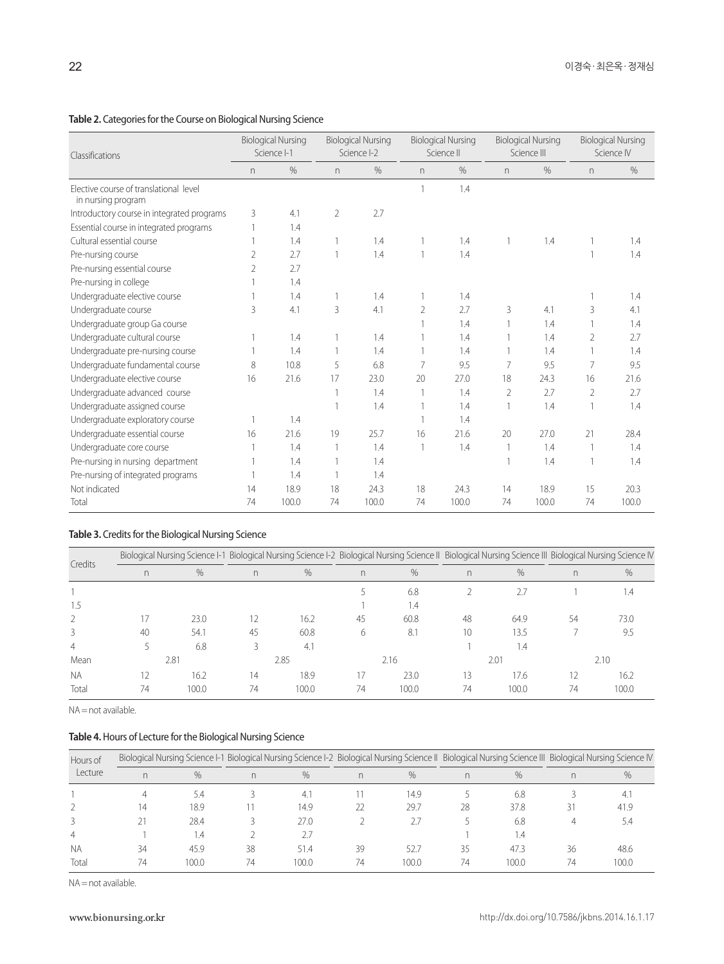# **Table 2.** Categories for the Course on Biological Nursing Science

| Classifications                                              | <b>Biological Nursing</b><br>Science I-1 |       | <b>Biological Nursing</b><br>Science I-2 |       | <b>Biological Nursing</b><br>Science II |       | <b>Biological Nursing</b><br>Science III |       | <b>Biological Nursing</b><br>Science IV |       |
|--------------------------------------------------------------|------------------------------------------|-------|------------------------------------------|-------|-----------------------------------------|-------|------------------------------------------|-------|-----------------------------------------|-------|
|                                                              | n                                        | %     | n                                        | $\%$  | $\Gamma$                                | $\%$  | n                                        | $\%$  | n                                       | %     |
| Elective course of translational level<br>in nursing program |                                          |       |                                          |       |                                         | 1.4   |                                          |       |                                         |       |
| Introductory course in integrated programs                   | 3                                        | 4.1   | $\overline{2}$                           | 2.7   |                                         |       |                                          |       |                                         |       |
| Essential course in integrated programs                      |                                          | 1.4   |                                          |       |                                         |       |                                          |       |                                         |       |
| Cultural essential course                                    |                                          | 1.4   | 1                                        | 1.4   |                                         | 1.4   |                                          | 1.4   |                                         | 1.4   |
| Pre-nursing course                                           | 2                                        | 2.7   | 1                                        | 1.4   |                                         | 1.4   |                                          |       |                                         | 1.4   |
| Pre-nursing essential course                                 | 2                                        | 2.7   |                                          |       |                                         |       |                                          |       |                                         |       |
| Pre-nursing in college                                       |                                          | 1.4   |                                          |       |                                         |       |                                          |       |                                         |       |
| Undergraduate elective course                                |                                          | 1.4   | 1                                        | 1.4   |                                         | 1.4   |                                          |       |                                         | 1.4   |
| Undergraduate course                                         | 3                                        | 4.1   | 3                                        | 4.1   | $\overline{2}$                          | 2.7   | 3                                        | 4.1   | 3                                       | 4.1   |
| Undergraduate group Ga course                                |                                          |       |                                          |       |                                         | 1.4   |                                          | 1.4   |                                         | 1.4   |
| Undergraduate cultural course                                |                                          | 1.4   | 1                                        | 1.4   |                                         | 1.4   |                                          | 1.4   | 2                                       | 2.7   |
| Undergraduate pre-nursing course                             |                                          | 1.4   |                                          | 1.4   |                                         | 1.4   |                                          | 1.4   |                                         | 1.4   |
| Undergraduate fundamental course                             | 8                                        | 10.8  | 5                                        | 6.8   | 7                                       | 9.5   | 7                                        | 9.5   | 7                                       | 9.5   |
| Undergraduate elective course                                | 16                                       | 21.6  | 17                                       | 23.0  | 20                                      | 27.0  | 18                                       | 24.3  | 16                                      | 21.6  |
| Undergraduate advanced course                                |                                          |       | 1                                        | 1.4   | 1                                       | 1.4   | 2                                        | 2.7   | 2                                       | 2.7   |
| Undergraduate assigned course                                |                                          |       |                                          | 1.4   |                                         | 1.4   |                                          | 1.4   |                                         | 1.4   |
| Undergraduate exploratory course                             |                                          | 1.4   |                                          |       |                                         | 1.4   |                                          |       |                                         |       |
| Undergraduate essential course                               | 16                                       | 21.6  | 19                                       | 25.7  | 16                                      | 21.6  | 20                                       | 27.0  | 21                                      | 28.4  |
| Undergraduate core course                                    |                                          | 1.4   | $\mathbf{1}$                             | 1.4   |                                         | 1.4   | 1                                        | 1.4   |                                         | 1.4   |
| Pre-nursing in nursing department                            |                                          | 1.4   | 1                                        | 1.4   |                                         |       |                                          | 1.4   |                                         | 1.4   |
| Pre-nursing of integrated programs                           |                                          | 1.4   | $\mathbf{1}$                             | 1.4   |                                         |       |                                          |       |                                         |       |
| Not indicated                                                | 14                                       | 18.9  | 18                                       | 24.3  | 18                                      | 24.3  | 14                                       | 18.9  | 15                                      | 20.3  |
| Total                                                        | 74                                       | 100.0 | 74                                       | 100.0 | 74                                      | 100.0 | 74                                       | 100.0 | 74                                      | 100.0 |

# **Table 3.** Credits for the Biological Nursing Science

|               |      |       | Biological Nursing Science I-1 Biological Nursing Science I-2 Biological Nursing Science II Biological Nursing Science III Biological Nursing Science IV |       |    |       |    |       |    |       |
|---------------|------|-------|----------------------------------------------------------------------------------------------------------------------------------------------------------|-------|----|-------|----|-------|----|-------|
| Credits       | n.   | $\%$  | n.                                                                                                                                                       | $\%$  | n  | $\%$  | n. | $\%$  | n  | $\%$  |
|               |      |       |                                                                                                                                                          |       |    | 6.8   |    | 2.7   |    | ، ۱.  |
| 1.5           |      |       |                                                                                                                                                          |       |    | 1.4   |    |       |    |       |
| $\mathcal{P}$ |      | 23.0  |                                                                                                                                                          | 16.2  | 45 | 60.8  | 48 | 64.9  | 54 | 73.0  |
| 3             | 40   | 54.1  | 45                                                                                                                                                       | 60.8  | h  | 8.1   | 10 | 13.5  |    | 9.5   |
| 4             |      | 6.8   |                                                                                                                                                          | 4.1   |    |       |    | 1.4   |    |       |
| Mean          | 2.81 |       | 2.85                                                                                                                                                     |       |    | 2.16  |    | 2.01  |    | 2.10  |
| <b>NA</b>     |      | 16.2  | 14                                                                                                                                                       | 18.9  |    | 23.0  | 13 | 17.6  | 12 | 16.2  |
| Total         | 74   | 100.0 | 74                                                                                                                                                       | 100.0 | 74 | 100.0 | 74 | 100.0 | 74 | 100.0 |

NA = not available.

# **Table 4.** Hours of Lecture for the Biological Nursing Science

| Hours of  |    |               |    |       |    |       |    |               | Biological Nursing Science I-1 Biological Nursing Science I-2 Biological Nursing Science II Biological Nursing Science III Biological Nursing Science IV |       |
|-----------|----|---------------|----|-------|----|-------|----|---------------|----------------------------------------------------------------------------------------------------------------------------------------------------------|-------|
| Lecture   | n  | $\frac{0}{0}$ | n  | %     | n. | $\%$  | n  | $\frac{0}{0}$ | n                                                                                                                                                        | $\%$  |
|           |    | 5.4           |    | 4.1   |    | 14.9  |    | 6.8           |                                                                                                                                                          |       |
|           |    | 18.9          |    | 14.9  |    | 29.7  | 28 | 37.8          | 31                                                                                                                                                       | 41.9  |
|           |    | 28.4          |    | 27.0  |    |       |    | 6.8           |                                                                                                                                                          | 5.4   |
| 4         |    | 1.4           |    | 2.7   |    |       |    | . 4           |                                                                                                                                                          |       |
| <b>NA</b> | 34 | 45.9          | 38 | 51.4  | 39 | 52.7  | 35 | 47.3          | 36                                                                                                                                                       | 48.6  |
| Total     | 74 | 100.0         | 74 | 100.0 | 74 | 100.0 | 74 | 100.0         | 74                                                                                                                                                       | 100.0 |

NA = not available.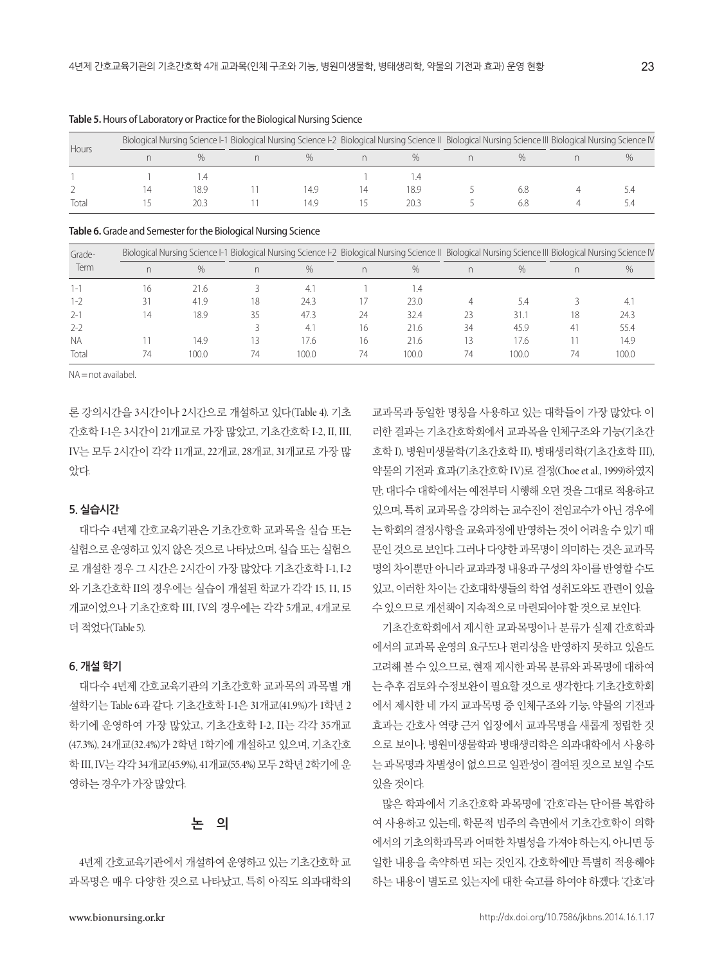|       |    |      | Biological Nursing Science I-1 Biological Nursing Science I-2 Biological Nursing Science II Biological Nursing Science III Biological Nursing Science IV |      |    |      |     |  |
|-------|----|------|----------------------------------------------------------------------------------------------------------------------------------------------------------|------|----|------|-----|--|
| Hours |    |      |                                                                                                                                                          |      |    | $\%$ |     |  |
|       |    |      |                                                                                                                                                          |      |    |      |     |  |
|       | IΔ | 18.9 |                                                                                                                                                          | 14.9 | 14 | 18.9 | 6.8 |  |
| Total |    | 20 : |                                                                                                                                                          | 149  |    | 20 3 | 6.8 |  |

**Table 5.** Hours of Laboratory or Practice for the Biological Nursing Science

**Table 6.** Grade and Semester for the Biological Nursing Science

| Grade-    |    |       | Biological Nursing Science I-1 Biological Nursing Science I-2 Biological Nursing Science II Biological Nursing Science III Biological Nursing Science IV |       |    |       |    |       |    |       |
|-----------|----|-------|----------------------------------------------------------------------------------------------------------------------------------------------------------|-------|----|-------|----|-------|----|-------|
| Term      | n  | $\%$  | n                                                                                                                                                        | $\%$  |    | %     | n  | $\%$  | n  | %     |
| 1-1       | 16 | 21.6  |                                                                                                                                                          | 4.    |    | 1.4   |    |       |    |       |
| 1-2       |    | 41.9  | 18                                                                                                                                                       | 24.3  |    | 23.0  |    | 5.4   |    | 4.    |
| $2 - 1$   | 14 | 18.9  | 35                                                                                                                                                       | 47.3  | 24 | 32.4  |    | 31.1  | 18 | 24.3  |
| $2 - 2$   |    |       |                                                                                                                                                          | 4.1   | 16 | 21.6  | 34 | 45.9  | 41 | 55.4  |
| <b>NA</b> |    | 14.9  |                                                                                                                                                          | 17.6  | 16 | 21.6  |    | 17.6  |    | 14.9  |
| Total     | 74 | 100.0 | 74                                                                                                                                                       | 100.0 | 74 | 100.0 | 74 | 100.0 | 74 | 100.0 |

NA = not availabel.

론 강의시간을 3시간이나 2시간으로 개설하고 있다(Table 4). 기초 간호학 I-1은 3시간이 21개교로 가장 많았고, 기초간호학 I-2, II, III, IV는 모두 2시간이 각각 11개교, 22개교, 28개교, 31개교로 가장 많 았다.

## **5. 실습시간**

대다수 4년제 간호교육기관은 기초간호학 교과목을 실습 또는 실험으로운영하고있지않은것으로나타났으며, 실습또는실험으 로 개설한 경우 그 시간은 2시간이 가장 많았다. 기초간호학 I-1, I-2 와 기초간호학 II의 경우에는 실습이 개설된 학교가 각각 15, 11, 15 개교이었으나 기초간호학 III, IV의 경우에는 각각 5개교, 4개교로 더적었다(Table 5).

#### **6. 개설 학기**

대다수 4년제 간호교육기관의 기초간호학 교과목의 과목별 개 설학기는 Table 6과 같다. 기초간호학 I-1은 31개교(41.9%)가 1학년 2 학기에 운영하여 가장 많았고, 기초간호학 I-2, II는 각각 35개교 (47.3%), 24개교(32.4%)가 2학년 1학기에 개설하고 있으며, 기초간호 학 III, IV는각각 34개교(45.9%), 41개교(55.4%) 모두 2학년 2학기에운 영하는 경우가 가장 많았다.

# **논 의**

4년제 간호교육기관에서 개설하여 운영하고 있는 기초간호학 교 과목명은 매우 다양한 것으로 나타났고, 특히 아직도 의과대학의

교과목과 동일한 명칭을 사용하고 있는 대학들이 가장 많았다. 이 러한 결과는 기초간호학회에서 교과목을 인체구조와 기능(기초간 호학 I), 병원미생물학(기초간호학 II), 병태생리학(기초간호학 III), 약물의 기전과 효과(기초간호학 IV)로 결정(Choe et al., 1999)하였지 만, 대다수 대학에서는 예전부터 시행해 오던 것을 그대로 적용하고 있으며, 특히 교과목을 강의하는 교수진이 전임교수가 아닌 경우에 는 학회의 결정사항을 교육과정에 반영하는 것이 어려울 수 있기 때 문인것으로보인다. 그러나다양한과목명이의미하는것은교과목 명의 차이뿐만 아니라 교과과정 내용과 구성의 차이를 반영할 수도 있고, 이러한 차이는 간호대학생들의 학업 성취도와도 관련이 있을 수있으므로개선책이지속적으로마련되어야할것으로보인다.

기초간호학회에서 제시한 교과목명이나 분류가 실제 간호학과 에서의 교과목 운영의 요구도나 편리성을 반영하지 못하고 있음도 고려해 볼 수 있으므로, 현재 제시한 과목 분류와 과목명에 대하여 는추후검토와수정보완이필요할것으로생각한다. 기초간호학회 에서 제시한 네 가지 교과목명 중 인체구조와 기능, 약물의 기전과 효과는 간호사 역량 근거 입장에서 교과목명을 새롭게 정립한 것 으로 보이나, 병원미생물학과 병태생리학은 의과대학에서 사용하 는 과목명과차별성이 없으므로 일관성이결여된것으로 보일 수도 있을것이다.

많은 학과에서 기초간호학 과목명에 '간호'라는 단어를 복합하 여 사용하고 있는데, 학문적 범주의 측면에서 기초간호학이 의학 에서의 기초의학과목과 어떠한 차별성을 가져야 하는지, 아니면 동 일한 내용을 축약하면 되는 것인지, 간호학에만 특별히 적용해야 하는 내용이 별도로 있는지에 대한 숙고를 하여야 하겠다. '간호'라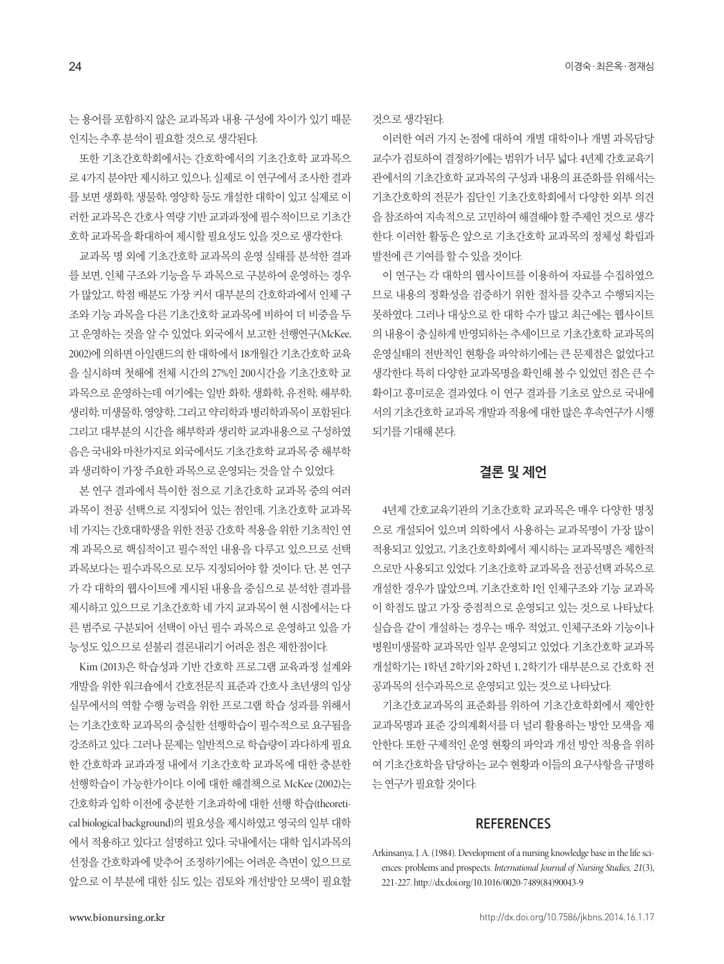는 용어를 포함하지 않은 교과목과 내용 구성에 차이가 있기 때문 인지는추후분석이필요할것으로생각된다.

또한 기초간호학회에서는 간호학에서의 기초간호학 교과목으 로 4가지 분야만 제시하고 있으나, 실제로 이 연구에서 조사한 결과 를 보면 생화학, 생물학, 영양학 등도 개설한 대학이 있고 실제로 이 러한 교과목은 간호사 역량 기반 교과과정에 필수적이므로 기초간 호학교과목을확대하여제시할필요성도있을것으로생각한다.

교과목 명 외에 기초간호학 교과목의 운영 실태를 분석한 결과 를 보면, 인체 구조와 기능을 두 과목으로 구분하여 운영하는 경우 가 많았고, 학점 배분도 가장 커서 대부분의 간호학과에서 인체 구 조와 기능 과목을 다른 기초간호학 교과목에 비하여 더 비중을 두 고 운영하는 것을 알 수 있었다. 외국에서 보고한 선행연구(McKee, 2002)에 의하면 아일랜드의 한 대학에서 18개월간 기초간호학 교육 을 실시하며 첫해에 전체 시간의 27%인 200시간을 기초간호학 교 과목으로 운영하는데 여기에는 일반 화학, 생화학, 유전학, 해부학, 생리학, 미생물학, 영양학, 그리고 약리학과 병리학과목이 포함된다. 그리고 대부분의 시간을 해부학과 생리학 교과내용으로 구성하였 음은 국내와 마찬가지로 외국에서도 기초간호학 교과목 중 해부학 과생리학이가장주요한과목으로운영되는것을알수있었다.

본 연구 결과에서 특이한 점으로 기초간호학 교과목 중의 여러 과목이 전공 선택으로 지정되어 있는 점인데, 기초간호학 교과목 네 가지는 간호대학생을 위한 전공 간호학 적용을 위한 기초적인 연 계 과목으로 핵심적이고 필수적인 내용을 다루고 있으므로 선택 과목보다는 필수과목으로 모두 지정되어야 할 것이다. 단, 본 연구 가 각 대학의 웹사이트에 게시된 내용을 중심으로 분석한 결과를 제시하고 있으므로 기초간호학 네 가지 교과목이 현 시점에서는 다 른 범주로 구분되어 선택이 아닌 필수 과목으로 운영하고 있을 가 능성도 있으므로 섣불리 결론내리기 어려운 점은 제한점이다.

Kim (2013)은 학습성과 기반 간호학 프로그램 교육과정 설계와 개발을 위한 워크숍에서 간호전문직 표준과 간호사 초년생의 임상 실무에서의 역할 수행 능력을 위한 프로그램 학습 성과를 위해서 는 기초간호학 교과목의 충실한 선행학습이 필수적으로 요구됨을 강조하고 있다. 그러나 문제는 일반적으로 학습량이 과다하게 필요 한 간호학과 교과과정 내에서 기초간호학 교과목에 대한 충분한 선행학습이 가능한가이다. 이에 대한 해결책으로 McKee (2002)는 간호학과 입학 이전에 충분한 기초과학에 대한 선행 학습(theoretical biological background)의 필요성을 제시하였고 영국의 일부 대학 에서 적용하고 있다고 설명하고 있다. 국내에서는 대학 입시과목의 선정을 간호학과에 맞추어 조정하기에는 어려운 측면이 있으므로 앞으로 이 부분에 대한 심도 있는 검토와 개선방안 모색이 필요할 것으로생각된다.

이러한 여러 가지 논점에 대하여 개별 대학이나 개별 과목담당 교수가 검토하여 결정하기에는 범위가 너무 넓다. 4년제 간호교육기 관에서의 기초간호학 교과목의 구성과 내용의 표준화를 위해서는 기초간호학의 전문가 집단인 기초간호학회에서 다양한 외부 의견 을 참조하여 지속적으로 고민하여 해결해야 할 주제인 것으로 생각 한다. 이러한 활동은 앞으로 기초간호학 교과목의 정체성 확립과 발전에큰기여를할수있을것이다.

이 연구는 각 대학의 웹사이트를 이용하여 자료를 수집하였으 므로 내용의 정확성을 검증하기 위한 절차를 갖추고 수행되지는 못하였다. 그러나 대상으로 한 대학 수가 많고 최근에는 웹사이트 의 내용이 충실하게 반영되하는 추세이므로 기초간호학 교과목의 운영실태의 전반적인 현황을 파악하기에는 큰 문제점은 없었다고 생각한다. 특히 다양한 교과목명을 확인해 볼 수 있었던 점은 큰 수 확이고 흥미로운 결과였다. 이 연구 결과를 기초로 앞으로 국내에 서의기초간호학교과목개발과적용에대한많은후속연구가시행 되기를기대해본다.

# **결론 및 제언**

4년제 간호교육기관의 기초간호학 교과목은 매우 다양한 명칭 으로 개설되어 있으며 의학에서 사용하는 교과목명이 가장 많이 적용되고 있었고, 기초간호학회에서 제시하는 교과목명은 제한적 으로만 사용되고 있었다. 기초간호학 교과목을 전공선택 과목으로 개설한 경우가 많았으며, 기초간호학 I인 인체구조와 기능 교과목 이 학점도 많고 가장 중점적으로 운영되고 있는 것으로 나타났다. 실습을 같이 개설하는 경우는 매우 적었고, 인체구조와 기능이나 병원미생물학 교과목만 일부 운영되고 있었다. 기초간호학 교과목 개설학기는 1학년 2학기와 2학년 1, 2학기가 대부분으로 간호학 전 공과목의 선수과목으로 운영되고 있는 것으로 나타났다.

기초간호교과목의 표준화를 위하여 기초간호학회에서 제안한 교과목명과 표준 강의계획서를 더 널리 활용하는 방안 모색을 제 안한다. 또한 구제적인 운영 현황의 파악과 개선 방안 적용을 위하 여 기초간호학을 담당하는 교수 현황과 이들의 요구사항을 규명하 는연구가필요할것이다.

# **REFERENCES**

Arkinsanya, J. A. (1984). Development of a nursing knowledge base in the life sciences: problems and prospects. *International Journal of Nursing Studies, 21*(3), 221-227. http://dx.doi.org/10.1016/0020-7489(84)90043-9